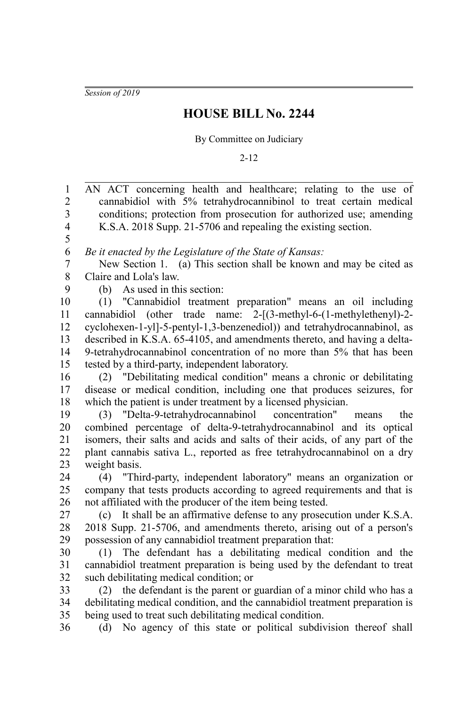*Session of 2019*

## **HOUSE BILL No. 2244**

By Committee on Judiciary

2-12

| $\mathbf{1}$            | AN ACT concerning health and healthcare; relating to the use of              |
|-------------------------|------------------------------------------------------------------------------|
| $\overline{c}$          | cannabidiol with 5% tetrahydrocannibinol to treat certain medical            |
| $\overline{\mathbf{3}}$ | conditions; protection from prosecution for authorized use; amending         |
| $\overline{\mathbf{4}}$ | K.S.A. 2018 Supp. 21-5706 and repealing the existing section.                |
| 5                       |                                                                              |
| 6                       | Be it enacted by the Legislature of the State of Kansas:                     |
| $\boldsymbol{7}$        | New Section 1. (a) This section shall be known and may be cited as           |
| $8\,$                   | Claire and Lola's law.                                                       |
| 9                       | (b) As used in this section:                                                 |
| 10                      | (1) "Cannabidiol treatment preparation" means an oil including               |
| 11                      | cannabidiol (other trade name: 2-[(3-methyl-6-(1-methylethenyl)-2-           |
| 12                      | cyclohexen-1-yl]-5-pentyl-1,3-benzenediol)) and tetrahydrocannabinol, as     |
| 13                      | described in K.S.A. 65-4105, and amendments thereto, and having a delta-     |
| 14                      | 9-tetrahydrocannabinol concentration of no more than 5% that has been        |
| 15                      | tested by a third-party, independent laboratory.                             |
| 16                      | (2) "Debilitating medical condition" means a chronic or debilitating         |
| 17                      | disease or medical condition, including one that produces seizures, for      |
| 18                      | which the patient is under treatment by a licensed physician.                |
| 19                      | (3) "Delta-9-tetrahydrocannabinol concentration"<br>the<br>means             |
| 20                      | combined percentage of delta-9-tetrahydrocannabinol and its optical          |
| 21                      | isomers, their salts and acids and salts of their acids, of any part of the  |
| 22                      | plant cannabis sativa L., reported as free tetrahydrocannabinol on a dry     |
| 23                      | weight basis.                                                                |
| 24                      | (4) "Third-party, independent laboratory" means an organization or           |
| 25                      | company that tests products according to agreed requirements and that is     |
| 26                      | not affiliated with the producer of the item being tested.                   |
| 27                      | (c) It shall be an affirmative defense to any prosecution under K.S.A.       |
| 28                      | 2018 Supp. 21-5706, and amendments thereto, arising out of a person's        |
| 29                      | possession of any cannabidiol treatment preparation that:                    |
| 30                      | (1) The defendant has a debilitating medical condition and the               |
| 31                      | cannabidiol treatment preparation is being used by the defendant to treat    |
| 32                      | such debilitating medical condition; or                                      |
| 33                      | the defendant is the parent or guardian of a minor child who has a<br>(2)    |
| 34                      | debilitating medical condition, and the cannabidiol treatment preparation is |
| 35                      | being used to treat such debilitating medical condition.                     |
| 36                      | (d) No agency of this state or political subdivision thereof shall           |
|                         |                                                                              |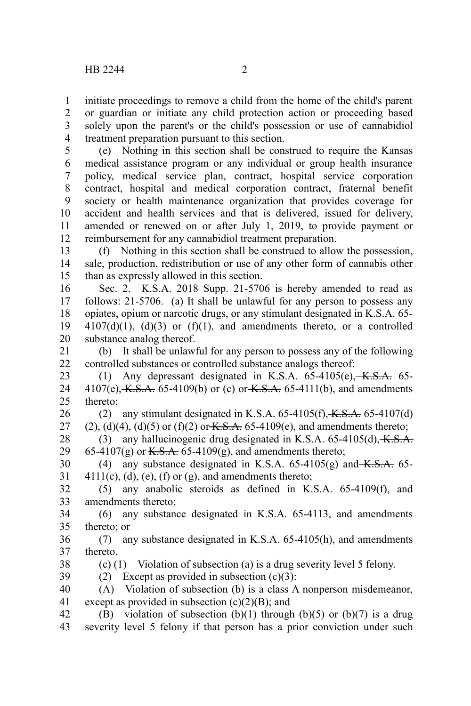initiate proceedings to remove a child from the home of the child's parent or guardian or initiate any child protection action or proceeding based solely upon the parent's or the child's possession or use of cannabidiol treatment preparation pursuant to this section. 1 2 3 4

(e) Nothing in this section shall be construed to require the Kansas medical assistance program or any individual or group health insurance policy, medical service plan, contract, hospital service corporation contract, hospital and medical corporation contract, fraternal benefit society or health maintenance organization that provides coverage for accident and health services and that is delivered, issued for delivery, amended or renewed on or after July 1, 2019, to provide payment or reimbursement for any cannabidiol treatment preparation. 5 6 7 8 9 10 11 12

(f) Nothing in this section shall be construed to allow the possession, sale, production, redistribution or use of any other form of cannabis other than as expressly allowed in this section. 13 14 15

Sec. 2. K.S.A. 2018 Supp. 21-5706 is hereby amended to read as follows: 21-5706. (a) It shall be unlawful for any person to possess any opiates, opium or narcotic drugs, or any stimulant designated in K.S.A. 65-  $4107(d)(1)$ ,  $(d)(3)$  or  $(f)(1)$ , and amendments thereto, or a controlled substance analog thereof. 16 17 18 19 20

(b) It shall be unlawful for any person to possess any of the following controlled substances or controlled substance analogs thereof: 21 22

(1) Any depressant designated in K.S.A.  $65-4105(e)$ , K.S.A.  $65 4107(e)$ , K.S.A. 65-4109(b) or (c) or K.S.A. 65-4111(b), and amendments thereto; 23 24 25

(2) any stimulant designated in K.S.A.  $65-4105(f)$ ,  $K.S.A. 65-4107(d)$ (2), (d)(4), (d)(5) or (f)(2) or  $K.S.A. 65-4109(e)$ , and amendments thereto; 26 27

(3) any hallucinogenic drug designated in K.S.A.  $65-4105(d)$ , K.S.A. 65-4107(g) or K.S.A. 65-4109(g), and amendments thereto; 28 29

(4) any substance designated in K.S.A.  $65-4105(g)$  and  $K.S.A.$   $65 4111(c)$ , (d), (e), (f) or (g), and amendments thereto; 30 31

(5) any anabolic steroids as defined in K.S.A. 65-4109(f), and amendments thereto; 32 33

(6) any substance designated in K.S.A. 65-4113, and amendments thereto; or 34 35

(7) any substance designated in K.S.A. 65-4105(h), and amendments thereto. 36 37

38 39 (c) (1) Violation of subsection (a) is a drug severity level 5 felony. (2) Except as provided in subsection  $(c)(3)$ :

(A) Violation of subsection (b) is a class A nonperson misdemeanor, except as provided in subsection  $(c)(2)(B)$ ; and 40 41

(B) violation of subsection (b)(1) through (b)(5) or (b)(7) is a drug severity level 5 felony if that person has a prior conviction under such 42 43